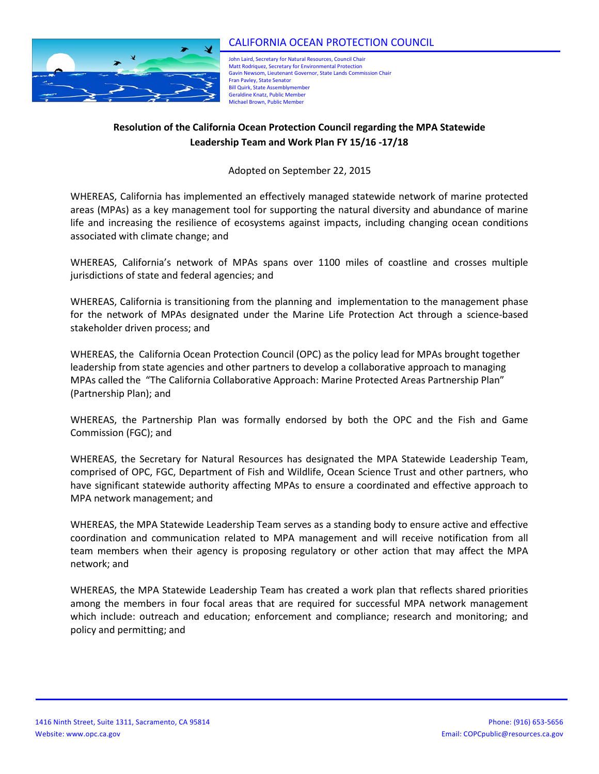

John Laird, Secretary for Natural Resources, Council Chair Matt Rodriquez, Secretary for Environmental Protection Gavin Newsom, Lieutenant Governor, State Lands Commission Chair Fran Pavley, State Senator **Bill Quirk, State Assemblymember** Geraldine Knatz, Public Member Michael Brown, Public Member

## **Resolution of the California Ocean Protection Council regarding the MPA Statewide Leadership Team and Work Plan FY 15/16 -17/18**

Adopted on September 22, 2015

WHEREAS, California has implemented an effectively managed statewide network of marine protected areas (MPAs) as a key management tool for supporting the natural diversity and abundance of marine life and increasing the resilience of ecosystems against impacts, including changing ocean conditions associated with climate change; and

WHEREAS, California's network of MPAs spans over 1100 miles of coastline and crosses multiple jurisdictions of state and federal agencies; and

WHEREAS, California is transitioning from the planning and implementation to the management phase for the network of MPAs designated under the Marine Life Protection Act through a science-based stakeholder driven process; and

WHEREAS, the California Ocean Protection Council (OPC) as the policy lead for MPAs brought together leadership from state agencies and other partners to develop a collaborative approach to managing MPAs called the "The California Collaborative Approach: Marine Protected Areas Partnership Plan" (Partnership Plan); and

WHEREAS, the Partnership Plan was formally endorsed by both the OPC and the Fish and Game Commission (FGC); and

WHEREAS, the Secretary for Natural Resources has designated the MPA Statewide Leadership Team, comprised of OPC, FGC, Department of Fish and Wildlife, Ocean Science Trust and other partners, who have significant statewide authority affecting MPAs to ensure a coordinated and effective approach to MPA network management; and

WHEREAS, the MPA Statewide Leadership Team serves as a standing body to ensure active and effective coordination and communication related to MPA management and will receive notification from all team members when their agency is proposing regulatory or other action that may affect the MPA network; and

WHEREAS, the MPA Statewide Leadership Team has created a work plan that reflects shared priorities among the members in four focal areas that are required for successful MPA network management which include: outreach and education; enforcement and compliance; research and monitoring; and policy and permitting; and

………………………………………………………………………………………..………………………………………………………………………………………